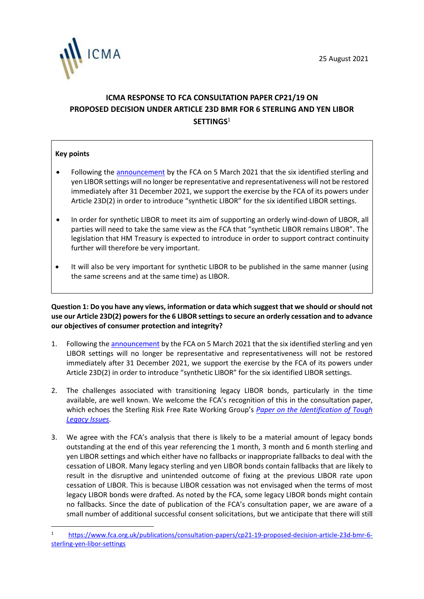

# **ICMA RESPONSE TO FCA CONSULTATION PAPER CP21/19 ON PROPOSED DECISION UNDER ARTICLE 23D BMR FOR 6 STERLING AND YEN LIBOR SETTINGS**<sup>1</sup>

### **Key points**

- Following the [announcement](https://www.fca.org.uk/publication/documents/future-cessation-loss-representativeness-libor-benchmarks.pdf) by the FCA on 5 March 2021 that the six identified sterling and yen LIBOR settings will no longer be representative and representativeness will not be restored immediately after 31 December 2021, we support the exercise by the FCA of its powers under Article 23D(2) in order to introduce "synthetic LIBOR" for the six identified LIBOR settings.
- In order for synthetic LIBOR to meet its aim of supporting an orderly wind-down of LIBOR, all parties will need to take the same view as the FCA that "synthetic LIBOR remains LIBOR". The legislation that HM Treasury is expected to introduce in order to support contract continuity further will therefore be very important.
- It will also be very important for synthetic LIBOR to be published in the same manner (using the same screens and at the same time) as LIBOR.

**Question 1: Do you have any views, information or data which suggest that we should or should not use our Article 23D(2) powers for the 6 LIBOR settings to secure an orderly cessation and to advance our objectives of consumer protection and integrity?**

- 1. Following the [announcement](https://www.fca.org.uk/publication/documents/future-cessation-loss-representativeness-libor-benchmarks.pdf) by the FCA on 5 March 2021 that the six identified sterling and yen LIBOR settings will no longer be representative and representativeness will not be restored immediately after 31 December 2021, we support the exercise by the FCA of its powers under Article 23D(2) in order to introduce "synthetic LIBOR" for the six identified LIBOR settings.
- 2. The challenges associated with transitioning legacy LIBOR bonds, particularly in the time available, are well known. We welcome the FCA's recognition of this in the consultation paper, which echoes the Sterling Risk Free Rate Working Group's *[Paper on the Identification of Tough](https://www.bankofengland.co.uk/-/media/boe/files/markets/benchmarks/paper-on-the-identification-of-tough-legacy-issues.pdf)  [Legacy Issues](https://www.bankofengland.co.uk/-/media/boe/files/markets/benchmarks/paper-on-the-identification-of-tough-legacy-issues.pdf)*.
- 3. We agree with the FCA's analysis that there is likely to be a material amount of legacy bonds outstanding at the end of this year referencing the 1 month, 3 month and 6 month sterling and yen LIBOR settings and which either have no fallbacks or inappropriate fallbacks to deal with the cessation of LIBOR. Many legacy sterling and yen LIBOR bonds contain fallbacks that are likely to result in the disruptive and unintended outcome of fixing at the previous LIBOR rate upon cessation of LIBOR. This is because LIBOR cessation was not envisaged when the terms of most legacy LIBOR bonds were drafted. As noted by the FCA, some legacy LIBOR bonds might contain no fallbacks. Since the date of publication of the FCA's consultation paper, we are aware of a small number of additional successful consent solicitations, but we anticipate that there will still

<sup>1</sup> [https://www.fca.org.uk/publications/consultation-papers/cp21-19-proposed-decision-article-23d-bmr-6](https://www.fca.org.uk/publications/consultation-papers/cp21-19-proposed-decision-article-23d-bmr-6-sterling-yen-libor-settings) [sterling-yen-libor-settings](https://www.fca.org.uk/publications/consultation-papers/cp21-19-proposed-decision-article-23d-bmr-6-sterling-yen-libor-settings)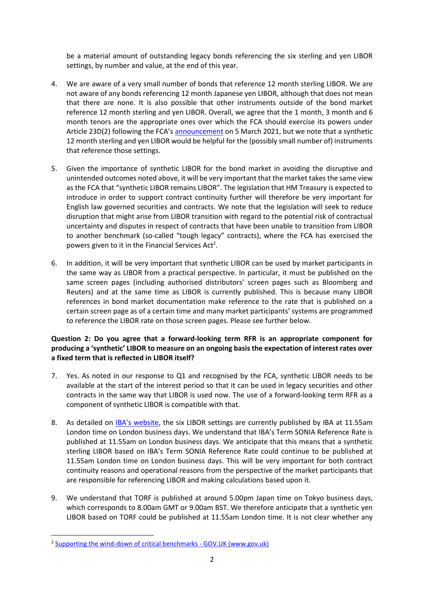be a material amount of outstanding legacy bonds referencing the six sterling and yen LIBOR settings, by number and value, at the end of this year.

- 4. We are aware of a very small number of bonds that reference 12 month sterling LIBOR. We are not aware of any bonds referencing 12 month Japanese yen LIBOR, although that does not mean that there are none. It is also possible that other instruments outside of the bond market reference 12 month sterling and yen LIBOR. Overall, we agree that the 1 month, 3 month and 6 month tenors are the appropriate ones over which the FCA should exercise its powers under Article 23D(2) following the FCA's [announcement](https://www.fca.org.uk/publication/documents/future-cessation-loss-representativeness-libor-benchmarks.pdf) on 5 March 2021, but we note that a synthetic 12 month sterling and yen LIBOR would be helpful for the (possibly small number of) instruments that reference those settings.
- 5. Given the importance of synthetic LIBOR for the bond market in avoiding the disruptive and unintended outcomes noted above, it will be very important that the market takes the same view as the FCA that "synthetic LIBOR remains LIBOR". The legislation that HM Treasury is expected to introduce in order to support contract continuity further will therefore be very important for English law governed securities and contracts. We note that the legislation will seek to reduce disruption that might arise from LIBOR transition with regard to the potential risk of contractual uncertainty and disputes in respect of contracts that have been unable to transition from LIBOR to another benchmark (so-called "tough legacy" contracts), where the FCA has exercised the powers given to it in the Financial Services Act<sup>2</sup>.
- 6. In addition, it will be very important that synthetic LIBOR can be used by market participants in the same way as LIBOR from a practical perspective. In particular, it must be published on the same screen pages (including authorised distributors' screen pages such as Bloomberg and Reuters) and at the same time as LIBOR is currently published. This is because many LIBOR references in bond market documentation make reference to the rate that is published on a certain screen page as of a certain time and many market participants' systems are programmed to reference the LIBOR rate on those screen pages. Please see further below.

# **Question 2: Do you agree that a forward-looking term RFR is an appropriate component for producing a 'synthetic' LIBOR to measure on an ongoing basis the expectation of interest rates over a fixed term that is reflected in LIBOR itself?**

- 7. Yes. As noted in our response to Q1 and recognised by the FCA, synthetic LIBOR needs to be available at the start of the interest period so that it can be used in legacy securities and other contracts in the same way that LIBOR is used now. The use of a forward-looking term RFR as a component of synthetic LIBOR is compatible with that.
- 8. As detailed on [IBA's website](https://www.theice.com/iba/libor), the six LIBOR settings are currently published by IBA at 11.55am London time on London business days. We understand that IBA's Term SONIA Reference Rate is published at 11.55am on London business days. We anticipate that this means that a synthetic sterling LIBOR based on IBA's Term SONIA Reference Rate could continue to be published at 11.55am London time on London business days. This will be very important for both contract continuity reasons and operational reasons from the perspective of the market participants that are responsible for referencing LIBOR and making calculations based upon it.
- 9. We understand that TORF is published at around 5.00pm Japan time on Tokyo business days, which corresponds to 8.00am GMT or 9.00am BST. We therefore anticipate that a synthetic yen LIBOR based on TORF could be published at 11.55am London time. It is not clear whether any

<sup>&</sup>lt;sup>2</sup> [Supporting the wind-down of critical benchmarks -](https://www.gov.uk/government/consultations/supporting-the-wind-down-of-critical-benchmarks) GOV.UK (www.gov.uk)